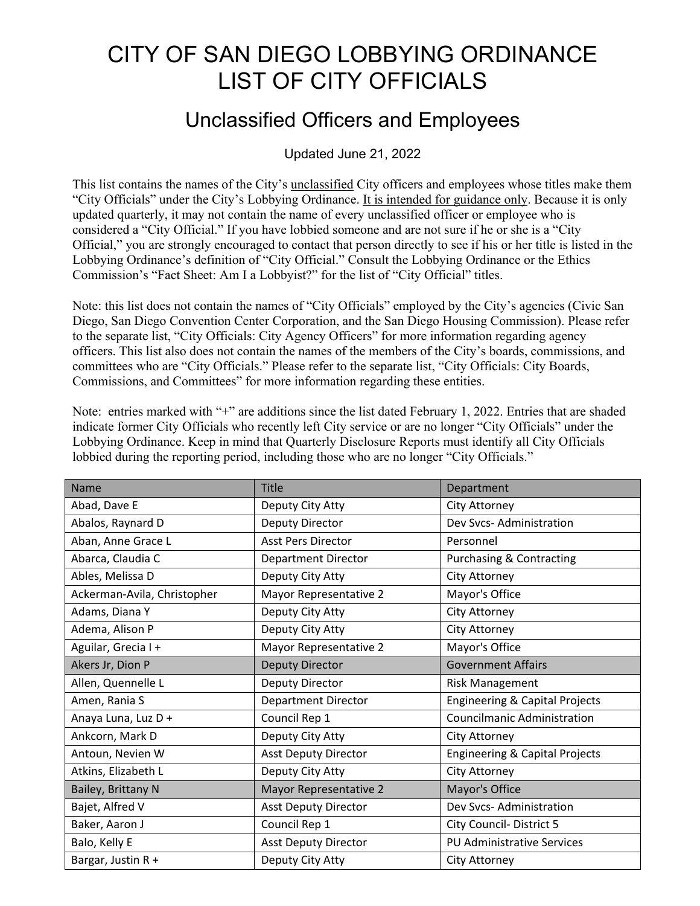## CITY OF SAN DIEGO LOBBYING ORDINANCE LIST OF CITY OFFICIALS

## Unclassified Officers and Employees

Updated June 21, 2022

This list contains the names of the City's unclassified City officers and employees whose titles make them "City Officials" under the City's Lobbying Ordinance. It is intended for guidance only. Because it is only updated quarterly, it may not contain the name of every unclassified officer or employee who is considered a "City Official." If you have lobbied someone and are not sure if he or she is a "City Official," you are strongly encouraged to contact that person directly to see if his or her title is listed in the Lobbying Ordinance's definition of "City Official." Consult the Lobbying Ordinance or the Ethics Commission's "Fact Sheet: Am I a Lobbyist?" for the list of "City Official" titles.

Note: this list does not contain the names of "City Officials" employed by the City's agencies (Civic San Diego, San Diego Convention Center Corporation, and the San Diego Housing Commission). Please refer to the separate list, "City Officials: City Agency Officers" for more information regarding agency officers. This list also does not contain the names of the members of the City's boards, commissions, and committees who are "City Officials." Please refer to the separate list, "City Officials: City Boards, Commissions, and Committees" for more information regarding these entities.

Note: entries marked with "+" are additions since the list dated February 1, 2022. Entries that are shaded indicate former City Officials who recently left City service or are no longer "City Officials" under the Lobbying Ordinance. Keep in mind that Quarterly Disclosure Reports must identify all City Officials lobbied during the reporting period, including those who are no longer "City Officials."

| Name                        | <b>Title</b>                  | Department                                |
|-----------------------------|-------------------------------|-------------------------------------------|
| Abad, Dave E                | Deputy City Atty              | City Attorney                             |
| Abalos, Raynard D           | Deputy Director               | Dev Svcs-Administration                   |
| Aban, Anne Grace L          | <b>Asst Pers Director</b>     | Personnel                                 |
| Abarca, Claudia C           | <b>Department Director</b>    | <b>Purchasing &amp; Contracting</b>       |
| Ables, Melissa D            | Deputy City Atty              | City Attorney                             |
| Ackerman-Avila, Christopher | Mayor Representative 2        | Mayor's Office                            |
| Adams, Diana Y              | Deputy City Atty              | City Attorney                             |
| Adema, Alison P             | Deputy City Atty              | City Attorney                             |
| Aguilar, Grecia I +         | Mayor Representative 2        | Mayor's Office                            |
| Akers Jr, Dion P            | Deputy Director               | <b>Government Affairs</b>                 |
| Allen, Quennelle L          | Deputy Director               | <b>Risk Management</b>                    |
| Amen, Rania S               | <b>Department Director</b>    | <b>Engineering &amp; Capital Projects</b> |
| Anaya Luna, Luz D +         | Council Rep 1                 | <b>Councilmanic Administration</b>        |
| Ankcorn, Mark D             | Deputy City Atty              | City Attorney                             |
| Antoun, Nevien W            | <b>Asst Deputy Director</b>   | <b>Engineering &amp; Capital Projects</b> |
| Atkins, Elizabeth L         | Deputy City Atty              | City Attorney                             |
| Bailey, Brittany N          | <b>Mayor Representative 2</b> | Mayor's Office                            |
| Bajet, Alfred V             | <b>Asst Deputy Director</b>   | Dev Svcs-Administration                   |
| Baker, Aaron J              | Council Rep 1                 | City Council- District 5                  |
| Balo, Kelly E               | <b>Asst Deputy Director</b>   | <b>PU Administrative Services</b>         |
| Bargar, Justin R +          | Deputy City Atty              | City Attorney                             |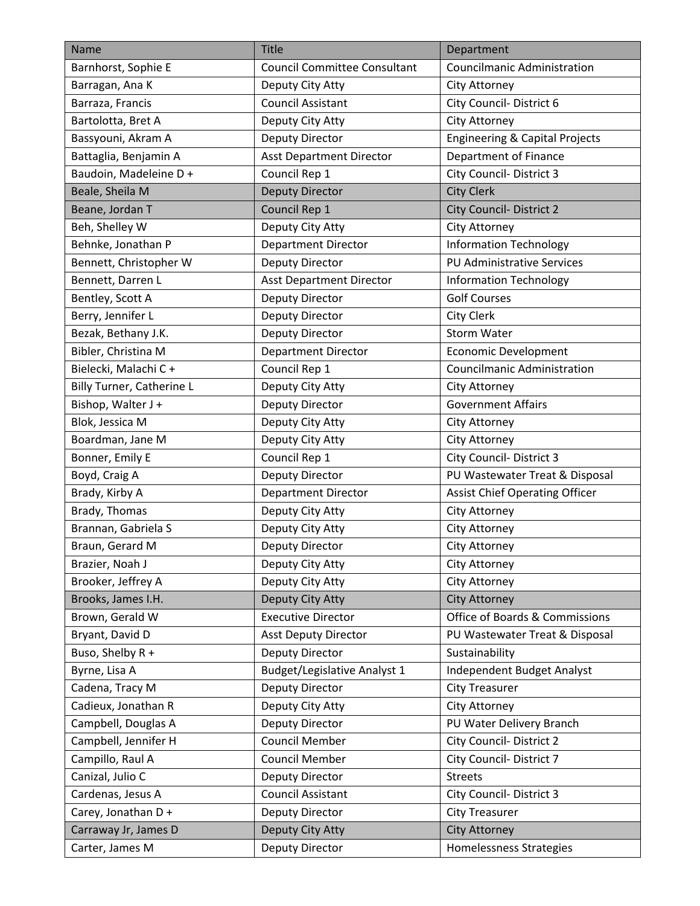| Name                      | <b>Title</b>                        | Department                                |
|---------------------------|-------------------------------------|-------------------------------------------|
| Barnhorst, Sophie E       | <b>Council Committee Consultant</b> | <b>Councilmanic Administration</b>        |
| Barragan, Ana K           | Deputy City Atty                    | City Attorney                             |
| Barraza, Francis          | <b>Council Assistant</b>            | City Council-District 6                   |
| Bartolotta, Bret A        | Deputy City Atty                    | City Attorney                             |
| Bassyouni, Akram A        | Deputy Director                     | <b>Engineering &amp; Capital Projects</b> |
| Battaglia, Benjamin A     | <b>Asst Department Director</b>     | Department of Finance                     |
| Baudoin, Madeleine D +    | Council Rep 1                       | <b>City Council- District 3</b>           |
| Beale, Sheila M           | <b>Deputy Director</b>              | <b>City Clerk</b>                         |
| Beane, Jordan T           | Council Rep 1                       | City Council- District 2                  |
| Beh, Shelley W            | Deputy City Atty                    | City Attorney                             |
| Behnke, Jonathan P        | <b>Department Director</b>          | <b>Information Technology</b>             |
| Bennett, Christopher W    | Deputy Director                     | <b>PU Administrative Services</b>         |
| Bennett, Darren L         | <b>Asst Department Director</b>     | <b>Information Technology</b>             |
| Bentley, Scott A          | Deputy Director                     | <b>Golf Courses</b>                       |
| Berry, Jennifer L         | Deputy Director                     | City Clerk                                |
| Bezak, Bethany J.K.       | <b>Deputy Director</b>              | <b>Storm Water</b>                        |
| Bibler, Christina M       | <b>Department Director</b>          | <b>Economic Development</b>               |
| Bielecki, Malachi C +     | Council Rep 1                       | <b>Councilmanic Administration</b>        |
| Billy Turner, Catherine L | Deputy City Atty                    | City Attorney                             |
| Bishop, Walter J +        | Deputy Director                     | <b>Government Affairs</b>                 |
| Blok, Jessica M           | Deputy City Atty                    | City Attorney                             |
| Boardman, Jane M          | Deputy City Atty                    | City Attorney                             |
| Bonner, Emily E           | Council Rep 1                       | City Council- District 3                  |
| Boyd, Craig A             | Deputy Director                     | PU Wastewater Treat & Disposal            |
| Brady, Kirby A            | <b>Department Director</b>          | <b>Assist Chief Operating Officer</b>     |
| Brady, Thomas             | Deputy City Atty                    | City Attorney                             |
| Brannan, Gabriela S       | Deputy City Atty                    | City Attorney                             |
| Braun, Gerard M           | Deputy Director                     | City Attorney                             |
| Brazier, Noah J           | Deputy City Atty                    | City Attorney                             |
| Brooker, Jeffrey A        | Deputy City Atty                    | City Attorney                             |
| Brooks, James I.H.        | Deputy City Atty                    | <b>City Attorney</b>                      |
| Brown, Gerald W           | <b>Executive Director</b>           | <b>Office of Boards &amp; Commissions</b> |
| Bryant, David D           | <b>Asst Deputy Director</b>         | PU Wastewater Treat & Disposal            |
| Buso, Shelby R +          | <b>Deputy Director</b>              | Sustainability                            |
| Byrne, Lisa A             | <b>Budget/Legislative Analyst 1</b> | Independent Budget Analyst                |
| Cadena, Tracy M           | Deputy Director                     | <b>City Treasurer</b>                     |
| Cadieux, Jonathan R       | Deputy City Atty                    | City Attorney                             |
| Campbell, Douglas A       | Deputy Director                     | PU Water Delivery Branch                  |
| Campbell, Jennifer H      | <b>Council Member</b>               | <b>City Council- District 2</b>           |
| Campillo, Raul A          | <b>Council Member</b>               | <b>City Council- District 7</b>           |
| Canizal, Julio C          | Deputy Director                     | <b>Streets</b>                            |
| Cardenas, Jesus A         | <b>Council Assistant</b>            | City Council- District 3                  |
| Carey, Jonathan D +       | Deputy Director                     | <b>City Treasurer</b>                     |
| Carraway Jr, James D      | Deputy City Atty                    | <b>City Attorney</b>                      |
| Carter, James M           | Deputy Director                     | Homelessness Strategies                   |
|                           |                                     |                                           |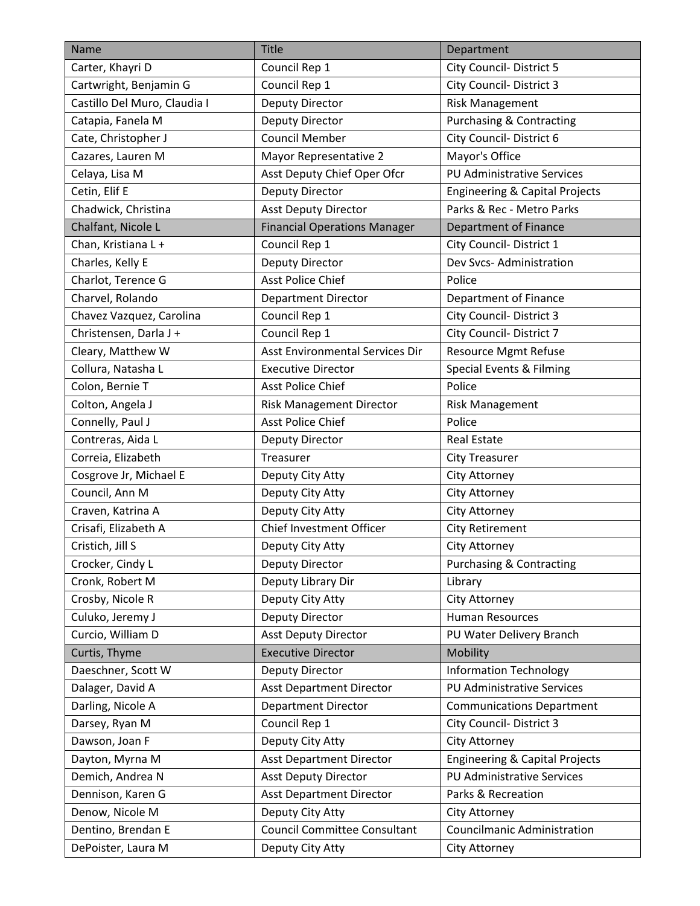| Name                         | <b>Title</b>                        | Department                                |
|------------------------------|-------------------------------------|-------------------------------------------|
| Carter, Khayri D             | Council Rep 1                       | <b>City Council- District 5</b>           |
| Cartwright, Benjamin G       | Council Rep 1                       | <b>City Council- District 3</b>           |
| Castillo Del Muro, Claudia I | Deputy Director                     | <b>Risk Management</b>                    |
| Catapia, Fanela M            | Deputy Director                     | <b>Purchasing &amp; Contracting</b>       |
| Cate, Christopher J          | <b>Council Member</b>               | City Council- District 6                  |
| Cazares, Lauren M            | Mayor Representative 2              | Mayor's Office                            |
| Celaya, Lisa M               | Asst Deputy Chief Oper Ofcr         | <b>PU Administrative Services</b>         |
| Cetin, Elif E                | Deputy Director                     | <b>Engineering &amp; Capital Projects</b> |
| Chadwick, Christina          | <b>Asst Deputy Director</b>         | Parks & Rec - Metro Parks                 |
| Chalfant, Nicole L           | <b>Financial Operations Manager</b> | Department of Finance                     |
| Chan, Kristiana L +          | Council Rep 1                       | City Council- District 1                  |
| Charles, Kelly E             | Deputy Director                     | Dev Svcs-Administration                   |
| Charlot, Terence G           | <b>Asst Police Chief</b>            | Police                                    |
| Charvel, Rolando             | Department Director                 | Department of Finance                     |
| Chavez Vazquez, Carolina     | Council Rep 1                       | <b>City Council- District 3</b>           |
| Christensen, Darla J +       | Council Rep 1                       | City Council- District 7                  |
| Cleary, Matthew W            | Asst Environmental Services Dir     | <b>Resource Mgmt Refuse</b>               |
| Collura, Natasha L           | <b>Executive Director</b>           | Special Events & Filming                  |
| Colon, Bernie T              | <b>Asst Police Chief</b>            | Police                                    |
| Colton, Angela J             | <b>Risk Management Director</b>     | <b>Risk Management</b>                    |
| Connelly, Paul J             | <b>Asst Police Chief</b>            | Police                                    |
| Contreras, Aida L            | Deputy Director                     | <b>Real Estate</b>                        |
| Correia, Elizabeth           | Treasurer                           | <b>City Treasurer</b>                     |
| Cosgrove Jr, Michael E       | Deputy City Atty                    | City Attorney                             |
| Council, Ann M               | Deputy City Atty                    | City Attorney                             |
| Craven, Katrina A            | Deputy City Atty                    | City Attorney                             |
| Crisafi, Elizabeth A         | Chief Investment Officer            | <b>City Retirement</b>                    |
| Cristich, Jill S             | Deputy City Atty                    | City Attorney                             |
| Crocker, Cindy L             | Deputy Director                     | <b>Purchasing &amp; Contracting</b>       |
| Cronk, Robert M              | Deputy Library Dir                  | Library                                   |
| Crosby, Nicole R             | Deputy City Atty                    | City Attorney                             |
| Culuko, Jeremy J             | Deputy Director                     | <b>Human Resources</b>                    |
| Curcio, William D            | <b>Asst Deputy Director</b>         | PU Water Delivery Branch                  |
| Curtis, Thyme                | <b>Executive Director</b>           | Mobility                                  |
| Daeschner, Scott W           | <b>Deputy Director</b>              | <b>Information Technology</b>             |
| Dalager, David A             | <b>Asst Department Director</b>     | <b>PU Administrative Services</b>         |
| Darling, Nicole A            | <b>Department Director</b>          | <b>Communications Department</b>          |
| Darsey, Ryan M               | Council Rep 1                       | <b>City Council- District 3</b>           |
| Dawson, Joan F               | Deputy City Atty                    | City Attorney                             |
| Dayton, Myrna M              | <b>Asst Department Director</b>     | <b>Engineering &amp; Capital Projects</b> |
| Demich, Andrea N             | <b>Asst Deputy Director</b>         | <b>PU Administrative Services</b>         |
| Dennison, Karen G            | <b>Asst Department Director</b>     | Parks & Recreation                        |
| Denow, Nicole M              | Deputy City Atty                    | City Attorney                             |
| Dentino, Brendan E           | <b>Council Committee Consultant</b> | <b>Councilmanic Administration</b>        |
| DePoister, Laura M           | Deputy City Atty                    | City Attorney                             |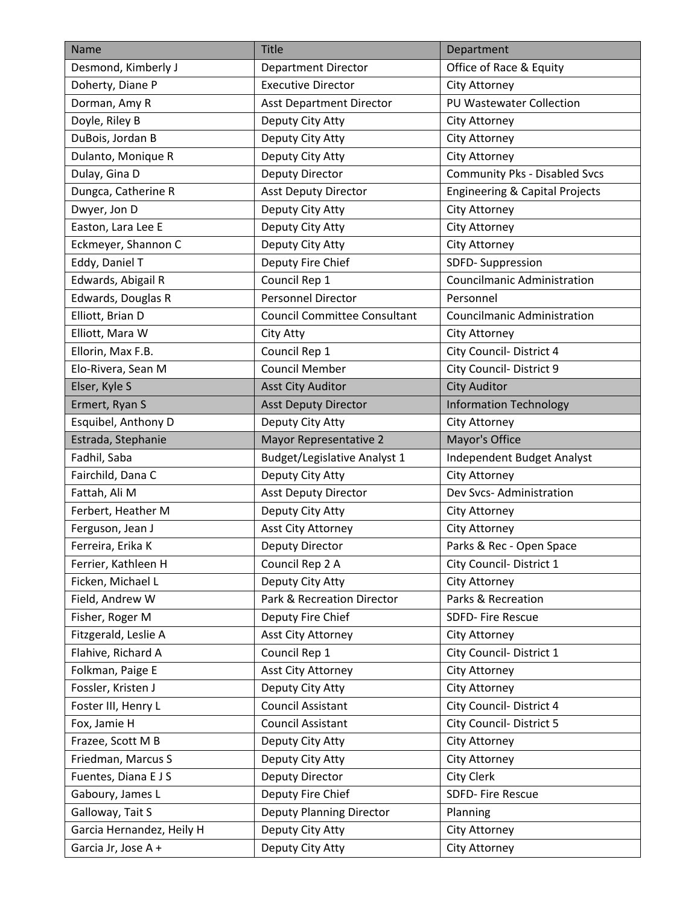| Name                      | <b>Title</b>                        | Department                                |
|---------------------------|-------------------------------------|-------------------------------------------|
| Desmond, Kimberly J       | <b>Department Director</b>          | Office of Race & Equity                   |
| Doherty, Diane P          | <b>Executive Director</b>           | City Attorney                             |
| Dorman, Amy R             | <b>Asst Department Director</b>     | PU Wastewater Collection                  |
| Doyle, Riley B            | Deputy City Atty                    | City Attorney                             |
| DuBois, Jordan B          | Deputy City Atty                    | City Attorney                             |
| Dulanto, Monique R        | Deputy City Atty                    | City Attorney                             |
| Dulay, Gina D             | Deputy Director                     | <b>Community Pks - Disabled Svcs</b>      |
| Dungca, Catherine R       | <b>Asst Deputy Director</b>         | <b>Engineering &amp; Capital Projects</b> |
| Dwyer, Jon D              | Deputy City Atty                    | City Attorney                             |
| Easton, Lara Lee E        | Deputy City Atty                    | City Attorney                             |
| Eckmeyer, Shannon C       | Deputy City Atty                    | City Attorney                             |
| Eddy, Daniel T            | Deputy Fire Chief                   | SDFD-Suppression                          |
| Edwards, Abigail R        | Council Rep 1                       | <b>Councilmanic Administration</b>        |
| Edwards, Douglas R        | <b>Personnel Director</b>           | Personnel                                 |
| Elliott, Brian D          | <b>Council Committee Consultant</b> | <b>Councilmanic Administration</b>        |
| Elliott, Mara W           | City Atty                           | City Attorney                             |
| Ellorin, Max F.B.         | Council Rep 1                       | City Council- District 4                  |
| Elo-Rivera, Sean M        | <b>Council Member</b>               | City Council- District 9                  |
| Elser, Kyle S             | <b>Asst City Auditor</b>            | <b>City Auditor</b>                       |
| Ermert, Ryan S            | <b>Asst Deputy Director</b>         | <b>Information Technology</b>             |
| Esquibel, Anthony D       | Deputy City Atty                    | City Attorney                             |
| Estrada, Stephanie        | Mayor Representative 2              | Mayor's Office                            |
| Fadhil, Saba              | <b>Budget/Legislative Analyst 1</b> | Independent Budget Analyst                |
| Fairchild, Dana C         | Deputy City Atty                    | City Attorney                             |
| Fattah, Ali M             | <b>Asst Deputy Director</b>         | Dev Svcs-Administration                   |
| Ferbert, Heather M        | Deputy City Atty                    | City Attorney                             |
| Ferguson, Jean J          | Asst City Attorney                  | City Attorney                             |
| Ferreira, Erika K         | Deputy Director                     | Parks & Rec - Open Space                  |
| Ferrier, Kathleen H       | Council Rep 2 A                     | City Council- District 1                  |
| Ficken, Michael L         | Deputy City Atty                    | <b>City Attorney</b>                      |
| Field, Andrew W           | Park & Recreation Director          | Parks & Recreation                        |
| Fisher, Roger M           | Deputy Fire Chief                   | SDFD- Fire Rescue                         |
| Fitzgerald, Leslie A      | Asst City Attorney                  | City Attorney                             |
| Flahive, Richard A        | Council Rep 1                       | City Council- District 1                  |
| Folkman, Paige E          | Asst City Attorney                  | City Attorney                             |
| Fossler, Kristen J        | Deputy City Atty                    | City Attorney                             |
| Foster III, Henry L       | <b>Council Assistant</b>            | City Council- District 4                  |
| Fox, Jamie H              | <b>Council Assistant</b>            | City Council- District 5                  |
| Frazee, Scott M B         | Deputy City Atty                    | City Attorney                             |
| Friedman, Marcus S        | Deputy City Atty                    | City Attorney                             |
| Fuentes, Diana EJS        | Deputy Director                     | City Clerk                                |
| Gaboury, James L          | Deputy Fire Chief                   | SDFD- Fire Rescue                         |
| Galloway, Tait S          | <b>Deputy Planning Director</b>     | Planning                                  |
| Garcia Hernandez, Heily H | Deputy City Atty                    | City Attorney                             |
| Garcia Jr, Jose A +       | Deputy City Atty                    | City Attorney                             |
|                           |                                     |                                           |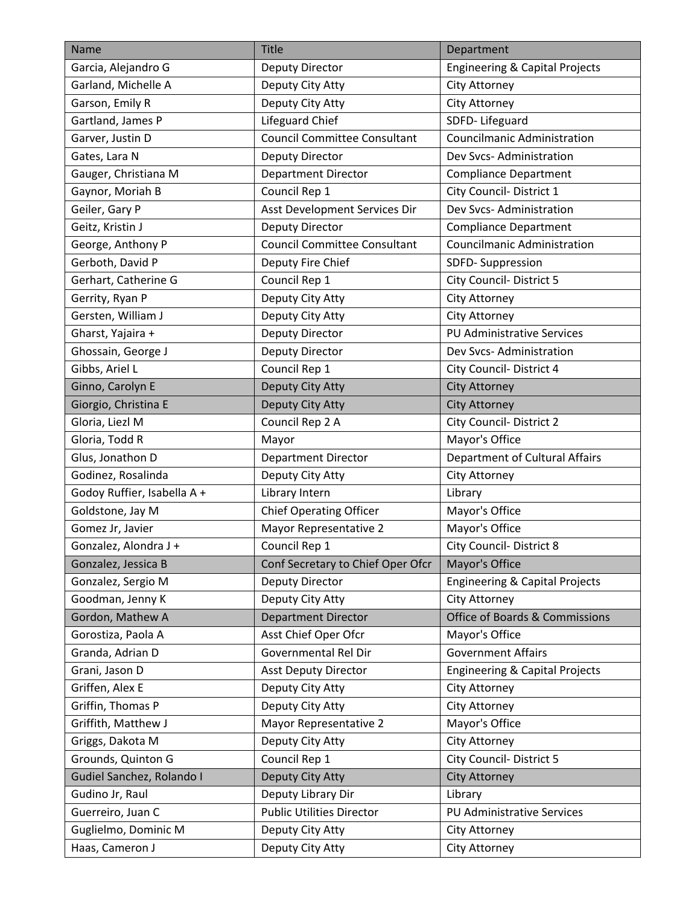| Name                        | <b>Title</b>                        | Department                                |
|-----------------------------|-------------------------------------|-------------------------------------------|
| Garcia, Alejandro G         | <b>Deputy Director</b>              | <b>Engineering &amp; Capital Projects</b> |
| Garland, Michelle A         | Deputy City Atty                    | City Attorney                             |
| Garson, Emily R             | Deputy City Atty                    | City Attorney                             |
| Gartland, James P           | Lifeguard Chief                     | SDFD-Lifeguard                            |
| Garver, Justin D            | <b>Council Committee Consultant</b> | <b>Councilmanic Administration</b>        |
| Gates, Lara N               | <b>Deputy Director</b>              | Dev Svcs-Administration                   |
| Gauger, Christiana M        | <b>Department Director</b>          | <b>Compliance Department</b>              |
| Gaynor, Moriah B            | Council Rep 1                       | City Council- District 1                  |
| Geiler, Gary P              | Asst Development Services Dir       | Dev Svcs-Administration                   |
| Geitz, Kristin J            | <b>Deputy Director</b>              | <b>Compliance Department</b>              |
| George, Anthony P           | <b>Council Committee Consultant</b> | <b>Councilmanic Administration</b>        |
| Gerboth, David P            | Deputy Fire Chief                   | SDFD-Suppression                          |
| Gerhart, Catherine G        | Council Rep 1                       | <b>City Council- District 5</b>           |
| Gerrity, Ryan P             | Deputy City Atty                    | City Attorney                             |
| Gersten, William J          | Deputy City Atty                    | City Attorney                             |
| Gharst, Yajaira +           | <b>Deputy Director</b>              | PU Administrative Services                |
| Ghossain, George J          | Deputy Director                     | Dev Svcs-Administration                   |
| Gibbs, Ariel L              | Council Rep 1                       | City Council- District 4                  |
| Ginno, Carolyn E            | Deputy City Atty                    | <b>City Attorney</b>                      |
| Giorgio, Christina E        | Deputy City Atty                    | <b>City Attorney</b>                      |
| Gloria, Liezl M             | Council Rep 2 A                     | <b>City Council- District 2</b>           |
| Gloria, Todd R              | Mayor                               | Mayor's Office                            |
| Glus, Jonathon D            | <b>Department Director</b>          | Department of Cultural Affairs            |
| Godinez, Rosalinda          | Deputy City Atty                    | City Attorney                             |
| Godoy Ruffier, Isabella A + | Library Intern                      | Library                                   |
| Goldstone, Jay M            | <b>Chief Operating Officer</b>      | Mayor's Office                            |
| Gomez Jr, Javier            | Mayor Representative 2              | Mayor's Office                            |
| Gonzalez, Alondra J +       | Council Rep 1                       | <b>City Council- District 8</b>           |
| Gonzalez, Jessica B         | Conf Secretary to Chief Oper Ofcr   | Mayor's Office                            |
| Gonzalez, Sergio M          | Deputy Director                     | <b>Engineering &amp; Capital Projects</b> |
| Goodman, Jenny K            | Deputy City Atty                    | <b>City Attorney</b>                      |
| Gordon, Mathew A            | <b>Department Director</b>          | <b>Office of Boards &amp; Commissions</b> |
| Gorostiza, Paola A          | Asst Chief Oper Ofcr                | Mayor's Office                            |
| Granda, Adrian D            | Governmental Rel Dir                | <b>Government Affairs</b>                 |
| Grani, Jason D              | <b>Asst Deputy Director</b>         | <b>Engineering &amp; Capital Projects</b> |
| Griffen, Alex E             | Deputy City Atty                    | City Attorney                             |
| Griffin, Thomas P           | Deputy City Atty                    | City Attorney                             |
| Griffith, Matthew J         | Mayor Representative 2              | Mayor's Office                            |
| Griggs, Dakota M            | Deputy City Atty                    | City Attorney                             |
| Grounds, Quinton G          | Council Rep 1                       | City Council- District 5                  |
| Gudiel Sanchez, Rolando I   | Deputy City Atty                    | <b>City Attorney</b>                      |
| Gudino Jr, Raul             | Deputy Library Dir                  | Library                                   |
| Guerreiro, Juan C           | <b>Public Utilities Director</b>    | PU Administrative Services                |
| Guglielmo, Dominic M        | Deputy City Atty                    | City Attorney                             |
| Haas, Cameron J             | Deputy City Atty                    | City Attorney                             |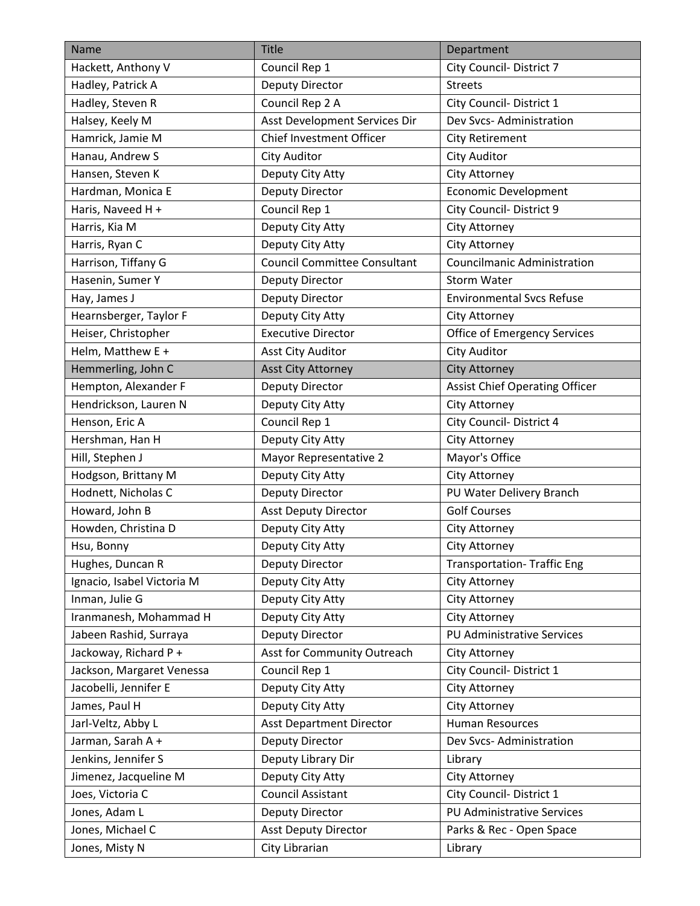| Name                       | <b>Title</b>                        | Department                            |
|----------------------------|-------------------------------------|---------------------------------------|
| Hackett, Anthony V         | Council Rep 1                       | City Council- District 7              |
| Hadley, Patrick A          | Deputy Director                     | <b>Streets</b>                        |
| Hadley, Steven R           | Council Rep 2 A                     | City Council- District 1              |
| Halsey, Keely M            | Asst Development Services Dir       | Dev Svcs-Administration               |
| Hamrick, Jamie M           | Chief Investment Officer            | <b>City Retirement</b>                |
| Hanau, Andrew S            | <b>City Auditor</b>                 | <b>City Auditor</b>                   |
| Hansen, Steven K           | Deputy City Atty                    | City Attorney                         |
| Hardman, Monica E          | Deputy Director                     | <b>Economic Development</b>           |
| Haris, Naveed H +          | Council Rep 1                       | City Council-District 9               |
| Harris, Kia M              | Deputy City Atty                    | City Attorney                         |
| Harris, Ryan C             | Deputy City Atty                    | City Attorney                         |
| Harrison, Tiffany G        | <b>Council Committee Consultant</b> | <b>Councilmanic Administration</b>    |
| Hasenin, Sumer Y           | Deputy Director                     | Storm Water                           |
| Hay, James J               | Deputy Director                     | <b>Environmental Svcs Refuse</b>      |
| Hearnsberger, Taylor F     | Deputy City Atty                    | City Attorney                         |
| Heiser, Christopher        | <b>Executive Director</b>           | <b>Office of Emergency Services</b>   |
| Helm, Matthew E +          | <b>Asst City Auditor</b>            | <b>City Auditor</b>                   |
| Hemmerling, John C         | <b>Asst City Attorney</b>           | <b>City Attorney</b>                  |
| Hempton, Alexander F       | Deputy Director                     | <b>Assist Chief Operating Officer</b> |
| Hendrickson, Lauren N      | Deputy City Atty                    | City Attorney                         |
| Henson, Eric A             | Council Rep 1                       | City Council- District 4              |
| Hershman, Han H            | Deputy City Atty                    | City Attorney                         |
| Hill, Stephen J            | Mayor Representative 2              | Mayor's Office                        |
| Hodgson, Brittany M        | Deputy City Atty                    | City Attorney                         |
| Hodnett, Nicholas C        | Deputy Director                     | PU Water Delivery Branch              |
| Howard, John B             | <b>Asst Deputy Director</b>         | <b>Golf Courses</b>                   |
| Howden, Christina D        | Deputy City Atty                    | City Attorney                         |
| Hsu, Bonny                 | Deputy City Atty                    | City Attorney                         |
| Hughes, Duncan R           | Deputy Director                     | <b>Transportation- Traffic Eng</b>    |
| Ignacio, Isabel Victoria M | Deputy City Atty                    | City Attorney                         |
| Inman, Julie G             | Deputy City Atty                    | City Attorney                         |
| Iranmanesh, Mohammad H     | Deputy City Atty                    | City Attorney                         |
| Jabeen Rashid, Surraya     | Deputy Director                     | PU Administrative Services            |
| Jackoway, Richard P +      | Asst for Community Outreach         | City Attorney                         |
| Jackson, Margaret Venessa  | Council Rep 1                       | City Council- District 1              |
| Jacobelli, Jennifer E      | Deputy City Atty                    | City Attorney                         |
| James, Paul H              | Deputy City Atty                    | City Attorney                         |
| Jarl-Veltz, Abby L         | <b>Asst Department Director</b>     | <b>Human Resources</b>                |
| Jarman, Sarah A +          | <b>Deputy Director</b>              | Dev Svcs-Administration               |
| Jenkins, Jennifer S        | Deputy Library Dir                  | Library                               |
| Jimenez, Jacqueline M      | Deputy City Atty                    | City Attorney                         |
| Joes, Victoria C           | Council Assistant                   | City Council- District 1              |
| Jones, Adam L              | Deputy Director                     | <b>PU Administrative Services</b>     |
| Jones, Michael C           | <b>Asst Deputy Director</b>         | Parks & Rec - Open Space              |
| Jones, Misty N             | City Librarian                      | Library                               |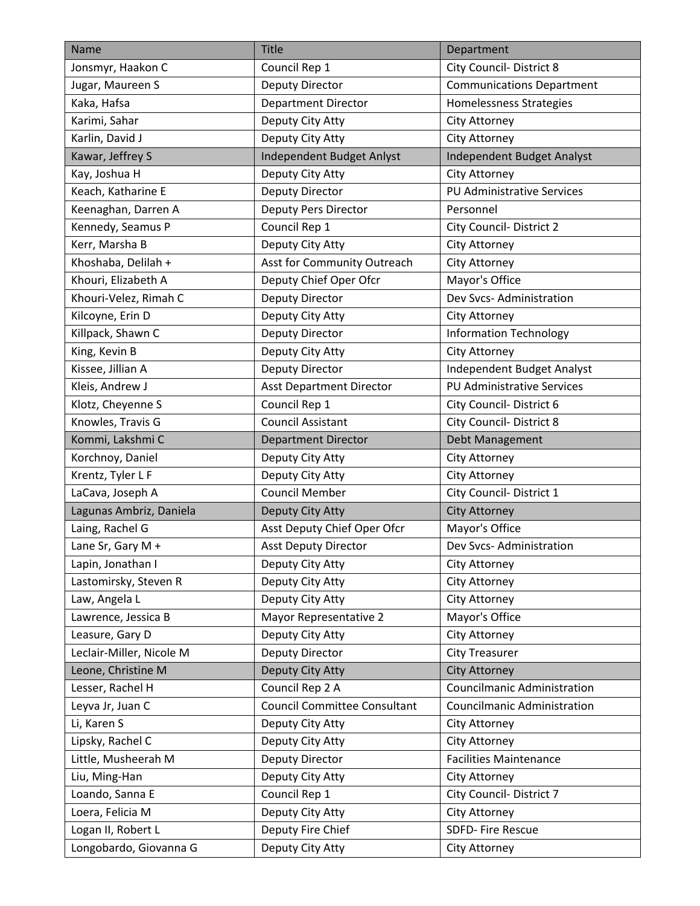| Name                     | <b>Title</b>                        | Department                         |
|--------------------------|-------------------------------------|------------------------------------|
| Jonsmyr, Haakon C        | Council Rep 1                       | <b>City Council- District 8</b>    |
| Jugar, Maureen S         | Deputy Director                     | <b>Communications Department</b>   |
| Kaka, Hafsa              | <b>Department Director</b>          | Homelessness Strategies            |
| Karimi, Sahar            | Deputy City Atty                    | City Attorney                      |
| Karlin, David J          | Deputy City Atty                    | City Attorney                      |
| Kawar, Jeffrey S         | Independent Budget Anlyst           | Independent Budget Analyst         |
| Kay, Joshua H            | Deputy City Atty                    | City Attorney                      |
| Keach, Katharine E       | <b>Deputy Director</b>              | PU Administrative Services         |
| Keenaghan, Darren A      | <b>Deputy Pers Director</b>         | Personnel                          |
| Kennedy, Seamus P        | Council Rep 1                       | <b>City Council- District 2</b>    |
| Kerr, Marsha B           | Deputy City Atty                    | City Attorney                      |
| Khoshaba, Delilah +      | Asst for Community Outreach         | City Attorney                      |
| Khouri, Elizabeth A      | Deputy Chief Oper Ofcr              | Mayor's Office                     |
| Khouri-Velez, Rimah C    | Deputy Director                     | Dev Svcs-Administration            |
| Kilcoyne, Erin D         | Deputy City Atty                    | City Attorney                      |
| Killpack, Shawn C        | Deputy Director                     | <b>Information Technology</b>      |
| King, Kevin B            | Deputy City Atty                    | City Attorney                      |
| Kissee, Jillian A        | <b>Deputy Director</b>              | Independent Budget Analyst         |
| Kleis, Andrew J          | <b>Asst Department Director</b>     | <b>PU Administrative Services</b>  |
| Klotz, Cheyenne S        | Council Rep 1                       | City Council- District 6           |
| Knowles, Travis G        | <b>Council Assistant</b>            | City Council- District 8           |
| Kommi, Lakshmi C         | <b>Department Director</b>          | Debt Management                    |
| Korchnoy, Daniel         | Deputy City Atty                    | City Attorney                      |
| Krentz, Tyler L F        | Deputy City Atty                    | City Attorney                      |
| LaCava, Joseph A         | <b>Council Member</b>               | City Council- District 1           |
| Lagunas Ambriz, Daniela  | Deputy City Atty                    | <b>City Attorney</b>               |
| Laing, Rachel G          | Asst Deputy Chief Oper Ofcr         | Mayor's Office                     |
| Lane Sr, Gary M +        | <b>Asst Deputy Director</b>         | Dev Svcs-Administration            |
| Lapin, Jonathan I        | Deputy City Atty                    | City Attorney                      |
| Lastomirsky, Steven R    | Deputy City Atty                    | City Attorney                      |
| Law, Angela L            | Deputy City Atty                    | City Attorney                      |
| Lawrence, Jessica B      | Mayor Representative 2              | Mayor's Office                     |
| Leasure, Gary D          | Deputy City Atty                    | City Attorney                      |
| Leclair-Miller, Nicole M | Deputy Director                     | <b>City Treasurer</b>              |
| Leone, Christine M       | Deputy City Atty                    | <b>City Attorney</b>               |
| Lesser, Rachel H         | Council Rep 2 A                     | <b>Councilmanic Administration</b> |
| Leyva Jr, Juan C         | <b>Council Committee Consultant</b> | <b>Councilmanic Administration</b> |
| Li, Karen S              | Deputy City Atty                    | City Attorney                      |
| Lipsky, Rachel C         | Deputy City Atty                    | City Attorney                      |
| Little, Musheerah M      | Deputy Director                     | <b>Facilities Maintenance</b>      |
| Liu, Ming-Han            | Deputy City Atty                    | City Attorney                      |
| Loando, Sanna E          | Council Rep 1                       | <b>City Council- District 7</b>    |
| Loera, Felicia M         | Deputy City Atty                    | City Attorney                      |
| Logan II, Robert L       | Deputy Fire Chief                   | SDFD- Fire Rescue                  |
| Longobardo, Giovanna G   | Deputy City Atty                    | City Attorney                      |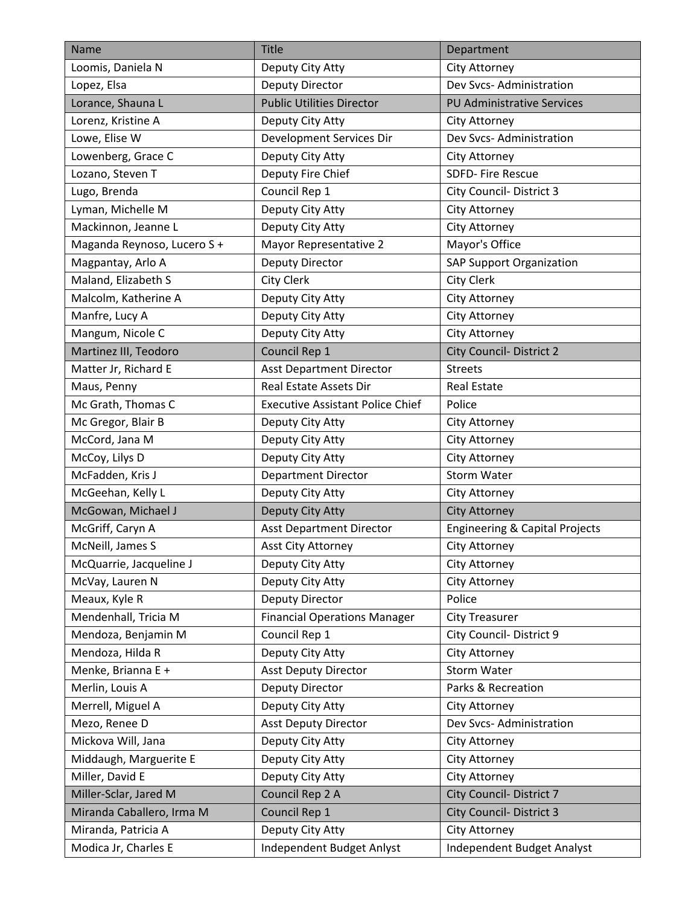| Name                        | <b>Title</b>                            | Department                                |
|-----------------------------|-----------------------------------------|-------------------------------------------|
| Loomis, Daniela N           | Deputy City Atty                        | City Attorney                             |
| Lopez, Elsa                 | Deputy Director                         | Dev Svcs-Administration                   |
| Lorance, Shauna L           | <b>Public Utilities Director</b>        | <b>PU Administrative Services</b>         |
| Lorenz, Kristine A          | Deputy City Atty                        | City Attorney                             |
| Lowe, Elise W               | Development Services Dir                | Dev Svcs-Administration                   |
| Lowenberg, Grace C          | Deputy City Atty                        | City Attorney                             |
| Lozano, Steven T            | Deputy Fire Chief                       | SDFD- Fire Rescue                         |
| Lugo, Brenda                | Council Rep 1                           | City Council- District 3                  |
| Lyman, Michelle M           | Deputy City Atty                        | City Attorney                             |
| Mackinnon, Jeanne L         | Deputy City Atty                        | City Attorney                             |
| Maganda Reynoso, Lucero S + | Mayor Representative 2                  | Mayor's Office                            |
| Magpantay, Arlo A           | Deputy Director                         | <b>SAP Support Organization</b>           |
| Maland, Elizabeth S         | City Clerk                              | City Clerk                                |
| Malcolm, Katherine A        | Deputy City Atty                        | City Attorney                             |
| Manfre, Lucy A              | Deputy City Atty                        | City Attorney                             |
| Mangum, Nicole C            | Deputy City Atty                        | City Attorney                             |
| Martinez III, Teodoro       | Council Rep 1                           | <b>City Council- District 2</b>           |
| Matter Jr, Richard E        | <b>Asst Department Director</b>         | <b>Streets</b>                            |
| Maus, Penny                 | Real Estate Assets Dir                  | <b>Real Estate</b>                        |
| Mc Grath, Thomas C          | <b>Executive Assistant Police Chief</b> | Police                                    |
| Mc Gregor, Blair B          | Deputy City Atty                        | City Attorney                             |
| McCord, Jana M              | Deputy City Atty                        | City Attorney                             |
| McCoy, Lilys D              | Deputy City Atty                        | City Attorney                             |
| McFadden, Kris J            | <b>Department Director</b>              | Storm Water                               |
| McGeehan, Kelly L           | Deputy City Atty                        | City Attorney                             |
| McGowan, Michael J          | <b>Deputy City Atty</b>                 | <b>City Attorney</b>                      |
| McGriff, Caryn A            | <b>Asst Department Director</b>         | <b>Engineering &amp; Capital Projects</b> |
| McNeill, James S            | <b>Asst City Attorney</b>               | <b>City Attorney</b>                      |
| McQuarrie, Jacqueline J     | Deputy City Atty                        | City Attorney                             |
| McVay, Lauren N             | Deputy City Atty                        | City Attorney                             |
| Meaux, Kyle R               | Deputy Director                         | Police                                    |
| Mendenhall, Tricia M        | <b>Financial Operations Manager</b>     | <b>City Treasurer</b>                     |
| Mendoza, Benjamin M         | Council Rep 1                           | City Council- District 9                  |
| Mendoza, Hilda R            | Deputy City Atty                        | City Attorney                             |
| Menke, Brianna E +          | <b>Asst Deputy Director</b>             | <b>Storm Water</b>                        |
| Merlin, Louis A             | Deputy Director                         | Parks & Recreation                        |
| Merrell, Miguel A           | Deputy City Atty                        | City Attorney                             |
| Mezo, Renee D               | <b>Asst Deputy Director</b>             | Dev Svcs-Administration                   |
| Mickova Will, Jana          | Deputy City Atty                        | City Attorney                             |
| Middaugh, Marguerite E      | Deputy City Atty                        | City Attorney                             |
| Miller, David E             | Deputy City Atty                        | City Attorney                             |
| Miller-Sclar, Jared M       | Council Rep 2 A                         | <b>City Council- District 7</b>           |
| Miranda Caballero, Irma M   | Council Rep 1                           | <b>City Council- District 3</b>           |
| Miranda, Patricia A         | Deputy City Atty                        | City Attorney                             |
| Modica Jr, Charles E        | Independent Budget Anlyst               | Independent Budget Analyst                |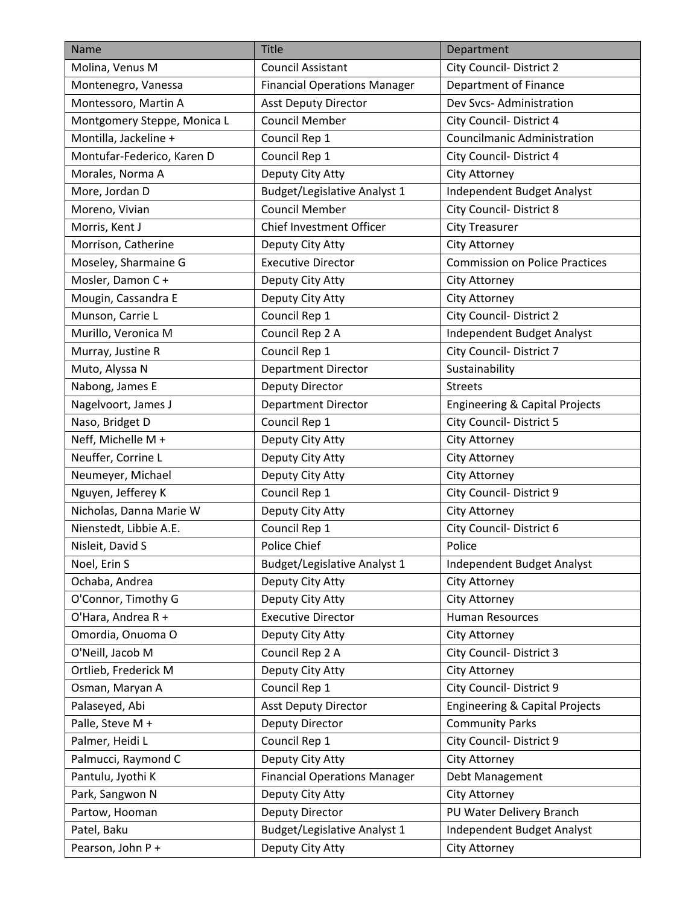| Name                        | <b>Title</b>                        | Department                                |
|-----------------------------|-------------------------------------|-------------------------------------------|
| Molina, Venus M             | <b>Council Assistant</b>            | <b>City Council- District 2</b>           |
| Montenegro, Vanessa         | <b>Financial Operations Manager</b> | <b>Department of Finance</b>              |
| Montessoro, Martin A        | <b>Asst Deputy Director</b>         | Dev Svcs-Administration                   |
| Montgomery Steppe, Monica L | <b>Council Member</b>               | City Council- District 4                  |
| Montilla, Jackeline +       | Council Rep 1                       | <b>Councilmanic Administration</b>        |
| Montufar-Federico, Karen D  | Council Rep 1                       | City Council- District 4                  |
| Morales, Norma A            | Deputy City Atty                    | City Attorney                             |
| More, Jordan D              | <b>Budget/Legislative Analyst 1</b> | Independent Budget Analyst                |
| Moreno, Vivian              | <b>Council Member</b>               | City Council- District 8                  |
| Morris, Kent J              | Chief Investment Officer            | <b>City Treasurer</b>                     |
| Morrison, Catherine         | Deputy City Atty                    | City Attorney                             |
| Moseley, Sharmaine G        | <b>Executive Director</b>           | <b>Commission on Police Practices</b>     |
| Mosler, Damon C +           | Deputy City Atty                    | City Attorney                             |
| Mougin, Cassandra E         | Deputy City Atty                    | City Attorney                             |
| Munson, Carrie L            | Council Rep 1                       | <b>City Council- District 2</b>           |
| Murillo, Veronica M         | Council Rep 2 A                     | Independent Budget Analyst                |
| Murray, Justine R           | Council Rep 1                       | <b>City Council- District 7</b>           |
| Muto, Alyssa N              | <b>Department Director</b>          | Sustainability                            |
| Nabong, James E             | Deputy Director                     | <b>Streets</b>                            |
| Nagelvoort, James J         | <b>Department Director</b>          | <b>Engineering &amp; Capital Projects</b> |
| Naso, Bridget D             | Council Rep 1                       | City Council- District 5                  |
| Neff, Michelle M +          | Deputy City Atty                    | City Attorney                             |
| Neuffer, Corrine L          | Deputy City Atty                    | City Attorney                             |
| Neumeyer, Michael           | Deputy City Atty                    | City Attorney                             |
| Nguyen, Jefferey K          | Council Rep 1                       | City Council- District 9                  |
| Nicholas, Danna Marie W     | Deputy City Atty                    | City Attorney                             |
| Nienstedt, Libbie A.E.      | Council Rep 1                       | City Council- District 6                  |
| Nisleit, David S            | Police Chief                        | Police                                    |
| Noel, Erin S                | <b>Budget/Legislative Analyst 1</b> | Independent Budget Analyst                |
| Ochaba, Andrea              | Deputy City Atty                    | City Attorney                             |
| O'Connor, Timothy G         | Deputy City Atty                    | City Attorney                             |
| O'Hara, Andrea R +          | <b>Executive Director</b>           | Human Resources                           |
| Omordia, Onuoma O           | Deputy City Atty                    | City Attorney                             |
| O'Neill, Jacob M            | Council Rep 2 A                     | City Council- District 3                  |
| Ortlieb, Frederick M        | Deputy City Atty                    | City Attorney                             |
| Osman, Maryan A             | Council Rep 1                       | City Council- District 9                  |
| Palaseyed, Abi              | <b>Asst Deputy Director</b>         | <b>Engineering &amp; Capital Projects</b> |
| Palle, Steve M +            | Deputy Director                     | <b>Community Parks</b>                    |
| Palmer, Heidi L             | Council Rep 1                       | City Council- District 9                  |
| Palmucci, Raymond C         | Deputy City Atty                    | City Attorney                             |
| Pantulu, Jyothi K           | <b>Financial Operations Manager</b> | Debt Management                           |
| Park, Sangwon N             | Deputy City Atty                    | City Attorney                             |
| Partow, Hooman              | Deputy Director                     | PU Water Delivery Branch                  |
| Patel, Baku                 | <b>Budget/Legislative Analyst 1</b> | Independent Budget Analyst                |
| Pearson, John P +           | Deputy City Atty                    | City Attorney                             |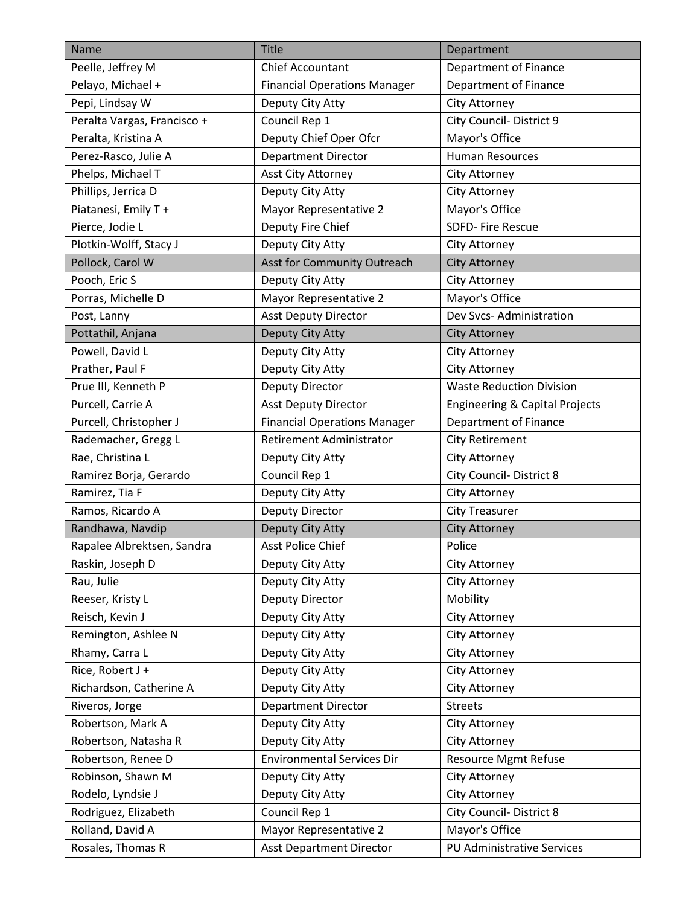| Name                        | <b>Title</b>                        | Department                                |
|-----------------------------|-------------------------------------|-------------------------------------------|
| Peelle, Jeffrey M           | Chief Accountant                    | Department of Finance                     |
| Pelayo, Michael +           | <b>Financial Operations Manager</b> | Department of Finance                     |
| Pepi, Lindsay W             | Deputy City Atty                    | City Attorney                             |
| Peralta Vargas, Francisco + | Council Rep 1                       | City Council- District 9                  |
| Peralta, Kristina A         | Deputy Chief Oper Ofcr              | Mayor's Office                            |
| Perez-Rasco, Julie A        | <b>Department Director</b>          | <b>Human Resources</b>                    |
| Phelps, Michael T           | Asst City Attorney                  | City Attorney                             |
| Phillips, Jerrica D         | Deputy City Atty                    | City Attorney                             |
| Piatanesi, Emily T +        | Mayor Representative 2              | Mayor's Office                            |
| Pierce, Jodie L             | Deputy Fire Chief                   | SDFD- Fire Rescue                         |
| Plotkin-Wolff, Stacy J      | Deputy City Atty                    | City Attorney                             |
| Pollock, Carol W            | Asst for Community Outreach         | <b>City Attorney</b>                      |
| Pooch, Eric S               | Deputy City Atty                    | City Attorney                             |
| Porras, Michelle D          | Mayor Representative 2              | Mayor's Office                            |
| Post, Lanny                 | <b>Asst Deputy Director</b>         | Dev Svcs-Administration                   |
| Pottathil, Anjana           | Deputy City Atty                    | <b>City Attorney</b>                      |
| Powell, David L             | Deputy City Atty                    | City Attorney                             |
| Prather, Paul F             | Deputy City Atty                    | City Attorney                             |
| Prue III, Kenneth P         | Deputy Director                     | <b>Waste Reduction Division</b>           |
| Purcell, Carrie A           | <b>Asst Deputy Director</b>         | <b>Engineering &amp; Capital Projects</b> |
| Purcell, Christopher J      | <b>Financial Operations Manager</b> | Department of Finance                     |
| Rademacher, Gregg L         | <b>Retirement Administrator</b>     | <b>City Retirement</b>                    |
| Rae, Christina L            | Deputy City Atty                    | City Attorney                             |
| Ramirez Borja, Gerardo      | Council Rep 1                       | <b>City Council- District 8</b>           |
| Ramirez, Tia F              | Deputy City Atty                    | City Attorney                             |
| Ramos, Ricardo A            | Deputy Director                     | <b>City Treasurer</b>                     |
| Randhawa, Navdip            | Deputy City Atty                    | <b>City Attorney</b>                      |
| Rapalee Albrektsen, Sandra  | <b>Asst Police Chief</b>            | Police                                    |
| Raskin, Joseph D            | Deputy City Atty                    | City Attorney                             |
| Rau, Julie                  | Deputy City Atty                    | City Attorney                             |
| Reeser, Kristy L            | Deputy Director                     | Mobility                                  |
| Reisch, Kevin J             | Deputy City Atty                    | City Attorney                             |
| Remington, Ashlee N         | Deputy City Atty                    | City Attorney                             |
| Rhamy, Carra L              | Deputy City Atty                    | City Attorney                             |
| Rice, Robert J +            | Deputy City Atty                    | City Attorney                             |
| Richardson, Catherine A     | Deputy City Atty                    | City Attorney                             |
| Riveros, Jorge              | <b>Department Director</b>          | <b>Streets</b>                            |
| Robertson, Mark A           | Deputy City Atty                    | City Attorney                             |
| Robertson, Natasha R        | Deputy City Atty                    | City Attorney                             |
| Robertson, Renee D          | <b>Environmental Services Dir</b>   | <b>Resource Mgmt Refuse</b>               |
| Robinson, Shawn M           | Deputy City Atty                    | City Attorney                             |
| Rodelo, Lyndsie J           | Deputy City Atty                    | City Attorney                             |
| Rodriguez, Elizabeth        | Council Rep 1                       | <b>City Council- District 8</b>           |
| Rolland, David A            | Mayor Representative 2              | Mayor's Office                            |
| Rosales, Thomas R           | <b>Asst Department Director</b>     | PU Administrative Services                |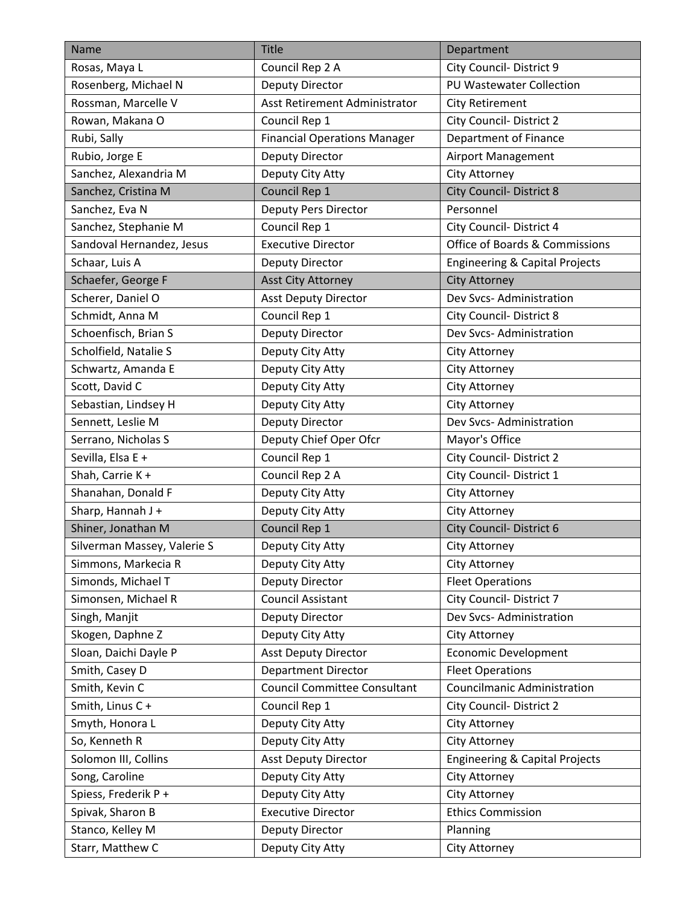| Name                        | <b>Title</b>                        | Department                                |
|-----------------------------|-------------------------------------|-------------------------------------------|
| Rosas, Maya L               | Council Rep 2 A                     | City Council- District 9                  |
| Rosenberg, Michael N        | Deputy Director                     | PU Wastewater Collection                  |
| Rossman, Marcelle V         | Asst Retirement Administrator       | <b>City Retirement</b>                    |
| Rowan, Makana O             | Council Rep 1                       | City Council- District 2                  |
| Rubi, Sally                 | <b>Financial Operations Manager</b> | <b>Department of Finance</b>              |
| Rubio, Jorge E              | Deputy Director                     | <b>Airport Management</b>                 |
| Sanchez, Alexandria M       | Deputy City Atty                    | City Attorney                             |
| Sanchez, Cristina M         | Council Rep 1                       | <b>City Council- District 8</b>           |
| Sanchez, Eva N              | Deputy Pers Director                | Personnel                                 |
| Sanchez, Stephanie M        | Council Rep 1                       | City Council- District 4                  |
| Sandoval Hernandez, Jesus   | <b>Executive Director</b>           | Office of Boards & Commissions            |
| Schaar, Luis A              | Deputy Director                     | <b>Engineering &amp; Capital Projects</b> |
| Schaefer, George F          | <b>Asst City Attorney</b>           | <b>City Attorney</b>                      |
| Scherer, Daniel O           | <b>Asst Deputy Director</b>         | Dev Svcs-Administration                   |
| Schmidt, Anna M             | Council Rep 1                       | <b>City Council- District 8</b>           |
| Schoenfisch, Brian S        | <b>Deputy Director</b>              | Dev Svcs-Administration                   |
| Scholfield, Natalie S       | Deputy City Atty                    | City Attorney                             |
| Schwartz, Amanda E          | Deputy City Atty                    | City Attorney                             |
| Scott, David C              | Deputy City Atty                    | City Attorney                             |
| Sebastian, Lindsey H        | Deputy City Atty                    | City Attorney                             |
| Sennett, Leslie M           | Deputy Director                     | Dev Svcs-Administration                   |
| Serrano, Nicholas S         | Deputy Chief Oper Ofcr              | Mayor's Office                            |
| Sevilla, Elsa E +           | Council Rep 1                       | <b>City Council- District 2</b>           |
| Shah, Carrie K +            | Council Rep 2 A                     | City Council- District 1                  |
| Shanahan, Donald F          | Deputy City Atty                    | City Attorney                             |
| Sharp, Hannah J +           | Deputy City Atty                    | City Attorney                             |
| Shiner, Jonathan M          | Council Rep 1                       | <b>City Council- District 6</b>           |
| Silverman Massey, Valerie S | Deputy City Atty                    | <b>City Attorney</b>                      |
| Simmons, Markecia R         | Deputy City Atty                    | City Attorney                             |
| Simonds, Michael T          | <b>Deputy Director</b>              | <b>Fleet Operations</b>                   |
| Simonsen, Michael R         | <b>Council Assistant</b>            | City Council- District 7                  |
| Singh, Manjit               | Deputy Director                     | Dev Svcs-Administration                   |
| Skogen, Daphne Z            | Deputy City Atty                    | City Attorney                             |
| Sloan, Daichi Dayle P       | <b>Asst Deputy Director</b>         | <b>Economic Development</b>               |
| Smith, Casey D              | <b>Department Director</b>          | <b>Fleet Operations</b>                   |
| Smith, Kevin C              | <b>Council Committee Consultant</b> | <b>Councilmanic Administration</b>        |
| Smith, Linus C +            | Council Rep 1                       | City Council- District 2                  |
| Smyth, Honora L             | Deputy City Atty                    | City Attorney                             |
| So, Kenneth R               | Deputy City Atty                    | City Attorney                             |
| Solomon III, Collins        | <b>Asst Deputy Director</b>         | <b>Engineering &amp; Capital Projects</b> |
| Song, Caroline              | Deputy City Atty                    | City Attorney                             |
| Spiess, Frederik P +        | Deputy City Atty                    | City Attorney                             |
| Spivak, Sharon B            | <b>Executive Director</b>           | <b>Ethics Commission</b>                  |
| Stanco, Kelley M            | <b>Deputy Director</b>              | Planning                                  |
| Starr, Matthew C            | Deputy City Atty                    | City Attorney                             |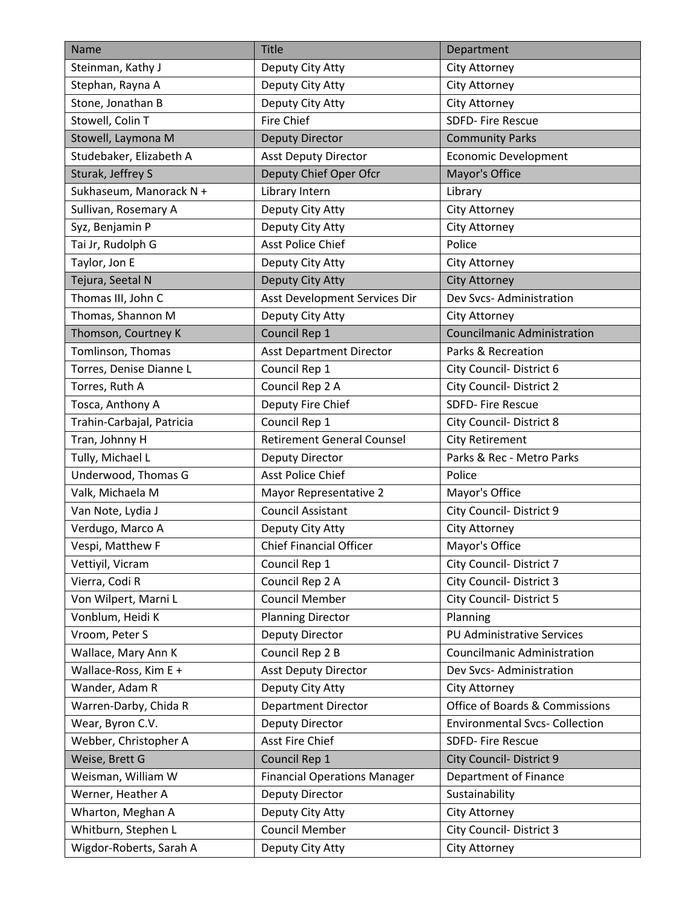| Name                      | <b>Title</b>                        | Department                            |
|---------------------------|-------------------------------------|---------------------------------------|
| Steinman, Kathy J         | Deputy City Atty                    | City Attorney                         |
| Stephan, Rayna A          | Deputy City Atty                    | City Attorney                         |
| Stone, Jonathan B         | Deputy City Atty                    | City Attorney                         |
| Stowell, Colin T          | <b>Fire Chief</b>                   | SDFD- Fire Rescue                     |
| Stowell, Laymona M        | <b>Deputy Director</b>              | <b>Community Parks</b>                |
| Studebaker, Elizabeth A   | <b>Asst Deputy Director</b>         | <b>Economic Development</b>           |
| Sturak, Jeffrey S         | Deputy Chief Oper Ofcr              | Mayor's Office                        |
| Sukhaseum, Manorack N +   | Library Intern                      | Library                               |
| Sullivan, Rosemary A      | Deputy City Atty                    | City Attorney                         |
| Syz, Benjamin P           | Deputy City Atty                    | City Attorney                         |
| Tai Jr, Rudolph G         | <b>Asst Police Chief</b>            | Police                                |
| Taylor, Jon E             | Deputy City Atty                    | City Attorney                         |
| Tejura, Seetal N          | Deputy City Atty                    | <b>City Attorney</b>                  |
| Thomas III, John C        | Asst Development Services Dir       | Dev Svcs-Administration               |
| Thomas, Shannon M         | Deputy City Atty                    | City Attorney                         |
| Thomson, Courtney K       | Council Rep 1                       | <b>Councilmanic Administration</b>    |
| Tomlinson, Thomas         | <b>Asst Department Director</b>     | Parks & Recreation                    |
| Torres, Denise Dianne L   | Council Rep 1                       | City Council-District 6               |
| Torres, Ruth A            | Council Rep 2 A                     | <b>City Council- District 2</b>       |
| Tosca, Anthony A          | Deputy Fire Chief                   | SDFD- Fire Rescue                     |
| Trahin-Carbajal, Patricia | Council Rep 1                       | City Council- District 8              |
| Tran, Johnny H            | <b>Retirement General Counsel</b>   | <b>City Retirement</b>                |
| Tully, Michael L          | Deputy Director                     | Parks & Rec - Metro Parks             |
| Underwood, Thomas G       | <b>Asst Police Chief</b>            | Police                                |
| Valk, Michaela M          | Mayor Representative 2              | Mayor's Office                        |
| Van Note, Lydia J         | <b>Council Assistant</b>            | City Council- District 9              |
| Verdugo, Marco A          | Deputy City Atty                    | City Attorney                         |
| Vespi, Matthew F          | <b>Chief Financial Officer</b>      | Mayor's Office                        |
| Vettiyil, Vicram          | Council Rep 1                       | City Council- District 7              |
| Vierra, Codi R            | Council Rep 2 A                     | <b>City Council- District 3</b>       |
| Von Wilpert, Marni L      | <b>Council Member</b>               | City Council- District 5              |
| Vonblum, Heidi K          | <b>Planning Director</b>            | Planning                              |
| Vroom, Peter S            | Deputy Director                     | PU Administrative Services            |
| Wallace, Mary Ann K       | Council Rep 2 B                     | <b>Councilmanic Administration</b>    |
| Wallace-Ross, Kim E +     | <b>Asst Deputy Director</b>         | Dev Svcs-Administration               |
| Wander, Adam R            | Deputy City Atty                    | <b>City Attorney</b>                  |
| Warren-Darby, Chida R     | <b>Department Director</b>          | Office of Boards & Commissions        |
| Wear, Byron C.V.          | Deputy Director                     | <b>Environmental Svcs- Collection</b> |
| Webber, Christopher A     | Asst Fire Chief                     | SDFD- Fire Rescue                     |
| Weise, Brett G            | Council Rep 1                       | <b>City Council- District 9</b>       |
| Weisman, William W        | <b>Financial Operations Manager</b> | Department of Finance                 |
| Werner, Heather A         | Deputy Director                     | Sustainability                        |
| Wharton, Meghan A         | Deputy City Atty                    | City Attorney                         |
| Whitburn, Stephen L       | <b>Council Member</b>               | City Council- District 3              |
| Wigdor-Roberts, Sarah A   | Deputy City Atty                    | City Attorney                         |
|                           |                                     |                                       |